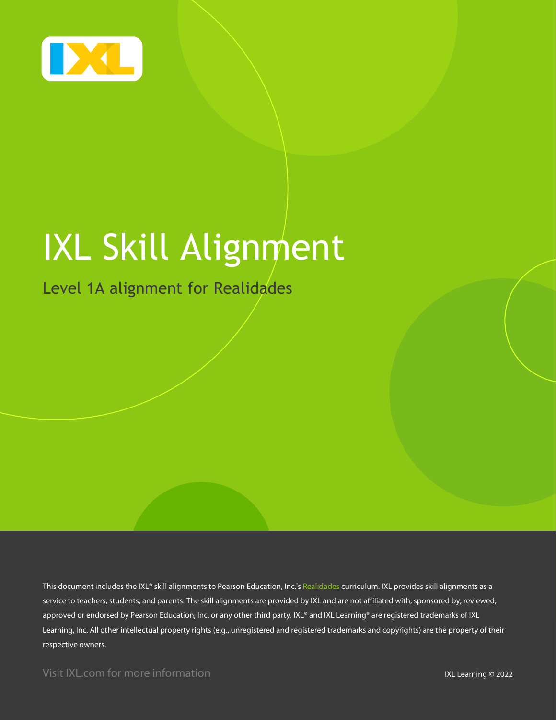

# IXL Skill Alignment

## Level 1A alignment for Realidades

This document includes the IXL® skill alignments to Pearson Education, Inc.'s Realidades curriculum. IXL provides skill alignments as a service to teachers, students, and parents. The skill alignments are provided by IXL and are not affiliated with, sponsored by, reviewed, approved or endorsed by Pearson Education, Inc. or any other third party. IXL® and IXL Learning® are registered trademarks of IXL Learning, Inc. All other intellectual property rights (e.g., unregistered and registered trademarks and copyrights) are the property of their respective owners.

Visit IXL.com for more information **IXL Learning © 2022**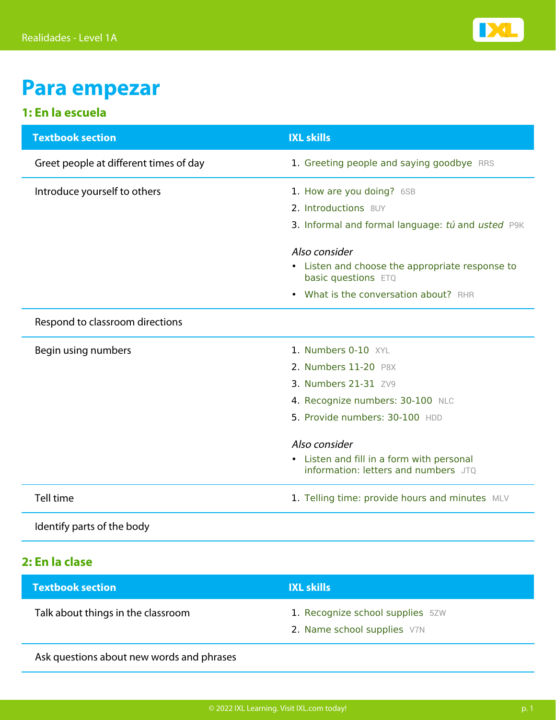

## **Para empezar**

#### **1: En la escuela**

| <b>Textbook section</b>                | <b>IXL skills</b>                                                                 |
|----------------------------------------|-----------------------------------------------------------------------------------|
| Greet people at different times of day | 1. Greeting people and saying goodbye RRS                                         |
| Introduce yourself to others           | 1. How are you doing? 6SB                                                         |
|                                        | 2. Introductions 8UY                                                              |
|                                        | 3. Informal and formal language: tú and usted P9K                                 |
|                                        | Also consider                                                                     |
|                                        | • Listen and choose the appropriate response to<br>basic questions ETQ            |
|                                        | What is the conversation about? RHR<br>$\bullet$                                  |
| Respond to classroom directions        |                                                                                   |
| Begin using numbers                    | 1. Numbers 0-10 XYL                                                               |
|                                        | 2. Numbers 11-20 P8X                                                              |
|                                        | 3. Numbers 21-31 ZV9                                                              |
|                                        | 4. Recognize numbers: 30-100 NLC                                                  |
|                                        | 5. Provide numbers: 30-100 HDD                                                    |
|                                        | Also consider                                                                     |
|                                        | • Listen and fill in a form with personal<br>information: letters and numbers JTO |
| Tell time                              | 1. Telling time: provide hours and minutes MLV                                    |

Identify parts of the body

#### **2: En la clase**

| <b>Textbook section</b>            | <b>IXL skills</b>                                               |
|------------------------------------|-----------------------------------------------------------------|
| Talk about things in the classroom | 1. Recognize school supplies 5ZW<br>2. Name school supplies V7N |
|                                    |                                                                 |

Ask questions about new words and phrases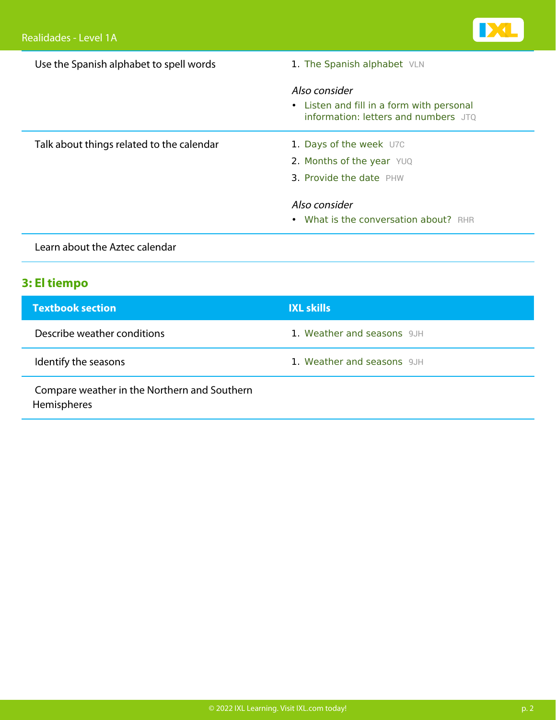| Use the Spanish alphabet to spell words   | 1. The Spanish alphabet VLN                                                       |  |
|-------------------------------------------|-----------------------------------------------------------------------------------|--|
|                                           | Also consider                                                                     |  |
|                                           | • Listen and fill in a form with personal<br>information: letters and numbers JTQ |  |
| Talk about things related to the calendar | 1. Days of the week U7C                                                           |  |
|                                           | 2. Months of the year YUQ                                                         |  |
|                                           | 3. Provide the date PHW                                                           |  |
|                                           | Also consider                                                                     |  |
|                                           | • What is the conversation about? RHR                                             |  |
| اسمام متملحم اممده المسافس بمسام استحمال  |                                                                                   |  |

## Learn about the Aztec calendar

### **3: El tiempo**

| <b>Textbook section</b>                                     | <b>IXL skills</b>          |
|-------------------------------------------------------------|----------------------------|
| Describe weather conditions                                 | 1. Weather and seasons 9JH |
| Identify the seasons                                        | 1. Weather and seasons 9JH |
| Compare weather in the Northern and Southern<br>Hemispheres |                            |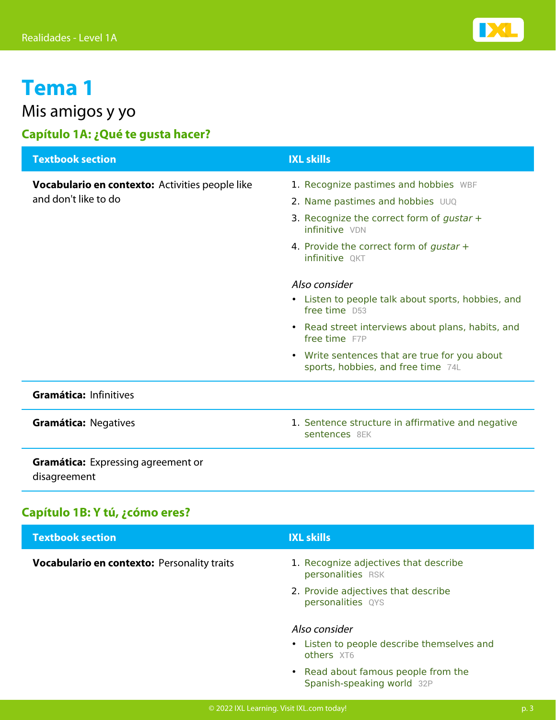

## Mis amigos y yo

## **Capítulo 1A: ¿Qué te gusta hacer?**

| <b>Textbook section</b>                                                 | <b>IXL skills</b>                                                                                                                          |
|-------------------------------------------------------------------------|--------------------------------------------------------------------------------------------------------------------------------------------|
| Vocabulario en contexto: Activities people like<br>and don't like to do | 1. Recognize pastimes and hobbies WBF<br>2. Name pastimes and hobbies UUQ<br>3. Recognize the correct form of gustar $+$<br>infinitive VDN |
|                                                                         | 4. Provide the correct form of gustar +<br><b>infinitive OKT</b>                                                                           |
|                                                                         | Also consider<br>• Listen to people talk about sports, hobbies, and<br>free time D53                                                       |
|                                                                         | • Read street interviews about plans, habits, and<br>free time F7P                                                                         |
|                                                                         | Write sentences that are true for you about<br>$\bullet$<br>sports, hobbies, and free time 74L                                             |
| Gramática: Infinitives                                                  |                                                                                                                                            |
| <b>Gramática: Negatives</b>                                             | 1. Sentence structure in affirmative and negative<br>sentences 8EK                                                                         |
| <b>Gramática:</b> Expressing agreement or<br>disagreement               |                                                                                                                                            |

#### **Capítulo 1B: Y tú, ¿cómo eres?**

| <b>Textbook section</b>                     | <b>IXL skills</b>                                                         |
|---------------------------------------------|---------------------------------------------------------------------------|
| Vocabulario en contexto: Personality traits | 1. Recognize adjectives that describe<br>personalities RSK                |
|                                             | 2. Provide adjectives that describe<br>personalities QYS                  |
|                                             | Also consider<br>• Listen to people describe themselves and<br>others XT6 |
|                                             | • Read about famous people from the<br>Spanish-speaking world 32P         |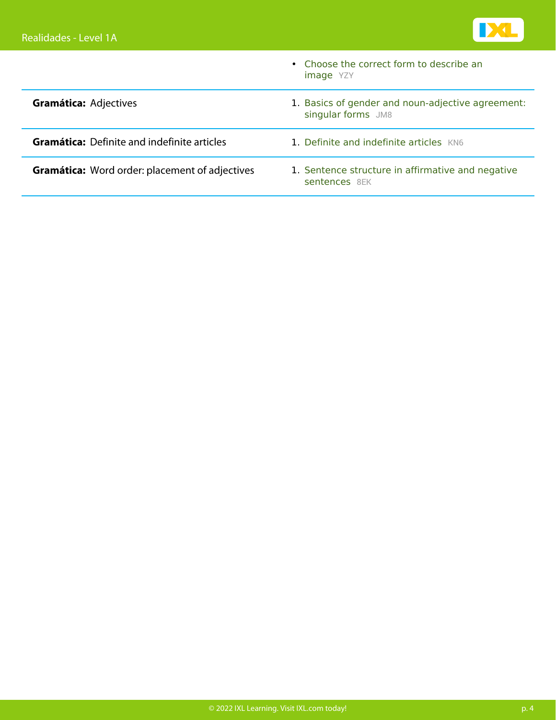

|                                                       | • Choose the correct form to describe an<br><b>image</b> YZY            |
|-------------------------------------------------------|-------------------------------------------------------------------------|
| <b>Gramática: Adjectives</b>                          | 1. Basics of gender and noun-adjective agreement:<br>singular forms JM8 |
| <b>Gramática:</b> Definite and indefinite articles    | 1. Definite and indefinite articles KN6                                 |
| <b>Gramática:</b> Word order: placement of adjectives | 1. Sentence structure in affirmative and negative<br>sentences 8FK      |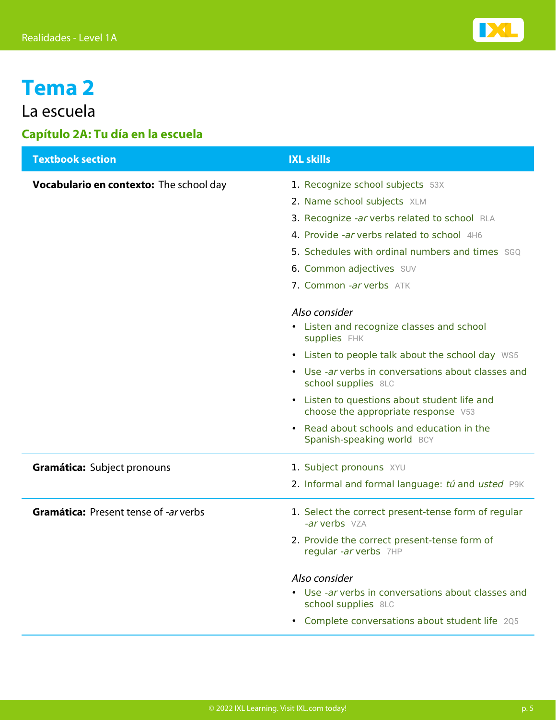

## La escuela

#### **Capítulo 2A: Tu día en la escuela**

| <b>Textbook section</b>                        | <b>IXL skills</b>                                                                   |
|------------------------------------------------|-------------------------------------------------------------------------------------|
| <b>Vocabulario en contexto:</b> The school day | 1. Recognize school subjects 53X                                                    |
|                                                | 2. Name school subjects XLM                                                         |
|                                                | 3. Recognize -ar verbs related to school RLA                                        |
|                                                | 4. Provide -ar verbs related to school 4H6                                          |
|                                                | 5. Schedules with ordinal numbers and times SGQ                                     |
|                                                | 6. Common adjectives SUV                                                            |
|                                                | 7. Common -ar verbs ATK                                                             |
|                                                | Also consider                                                                       |
|                                                | • Listen and recognize classes and school<br>supplies FHK                           |
|                                                | • Listen to people talk about the school day WS5                                    |
|                                                | • Use -ar verbs in conversations about classes and<br>school supplies 8LC           |
|                                                | • Listen to questions about student life and<br>choose the appropriate response V53 |
|                                                | • Read about schools and education in the<br>Spanish-speaking world BCY             |
| Gramática: Subject pronouns                    | 1. Subject pronouns XYU                                                             |
|                                                | 2. Informal and formal language: tú and usted P9K                                   |
| <b>Gramática: Present tense of -ar verbs</b>   | 1. Select the correct present-tense form of regular<br>-ar verbs VZA                |
|                                                | 2. Provide the correct present-tense form of<br>regular -ar verbs 7HP               |
|                                                | Also consider                                                                       |
|                                                | • Use -ar verbs in conversations about classes and<br>school supplies 8LC           |
|                                                | • Complete conversations about student life 205                                     |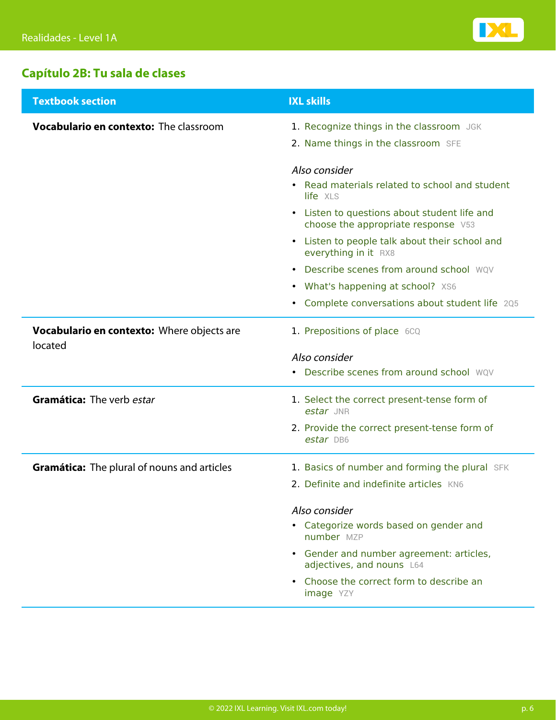

## **Capítulo 2B: Tu sala de clases**

| <b>Textbook section</b>                               | <b>IXL skills</b>                                                                   |
|-------------------------------------------------------|-------------------------------------------------------------------------------------|
| <b>Vocabulario en contexto:</b> The classroom         | 1. Recognize things in the classroom JGK                                            |
|                                                       | 2. Name things in the classroom SFE                                                 |
|                                                       | Also consider                                                                       |
|                                                       | • Read materials related to school and student<br>life XLS                          |
|                                                       | • Listen to questions about student life and<br>choose the appropriate response V53 |
|                                                       | • Listen to people talk about their school and<br>everything in it RX8              |
|                                                       | • Describe scenes from around school WQV                                            |
|                                                       | • What's happening at school? XS6                                                   |
|                                                       | • Complete conversations about student life 205                                     |
| Vocabulario en contexto: Where objects are<br>located | 1. Prepositions of place 6CQ                                                        |
|                                                       | Also consider                                                                       |
|                                                       | • Describe scenes from around school WQV                                            |
| Gramática: The verb estar                             | 1. Select the correct present-tense form of<br>estar JNR                            |
|                                                       | 2. Provide the correct present-tense form of<br>estar DB6                           |
| <b>Gramática:</b> The plural of nouns and articles    | 1. Basics of number and forming the plural SFK                                      |
|                                                       | 2. Definite and indefinite articles KN6                                             |
|                                                       | Also consider                                                                       |
|                                                       | • Categorize words based on gender and<br>number MZP                                |
|                                                       | • Gender and number agreement: articles,<br>adjectives, and nouns L64               |
|                                                       | • Choose the correct form to describe an<br>image YZY                               |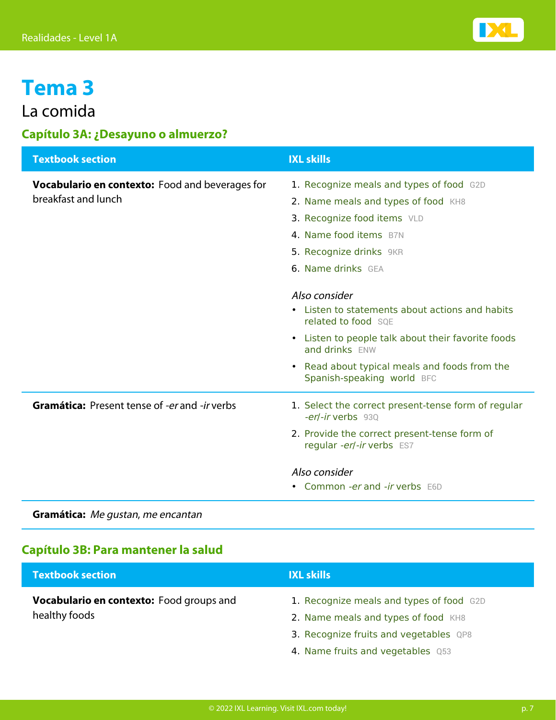

## La comida

#### **Capítulo 3A: ¿Desayuno o almuerzo?**

| <b>Textbook section</b>                                | <b>IXL skills</b>                                                           |
|--------------------------------------------------------|-----------------------------------------------------------------------------|
| <b>Vocabulario en contexto:</b> Food and beverages for | 1. Recognize meals and types of food G2D                                    |
| breakfast and lunch                                    | 2. Name meals and types of food KH8                                         |
|                                                        | 3. Recognize food items VLD                                                 |
|                                                        | 4. Name food items BZN                                                      |
|                                                        | 5. Recognize drinks 9KR                                                     |
|                                                        | <b>6. Name drinks</b> GEA                                                   |
|                                                        | Also consider                                                               |
|                                                        | • Listen to statements about actions and habits                             |
|                                                        | related to food SOE                                                         |
|                                                        | • Listen to people talk about their favorite foods<br>and drinks ENW        |
|                                                        | • Read about typical meals and foods from the<br>Spanish-speaking world BFC |
| <b>Gramática:</b> Present tense of -er and -ir verbs   | 1. Select the correct present-tense form of regular<br>-er/-ir verbs 930    |
|                                                        | 2. Provide the correct present-tense form of<br>regular -er/-ir verbs ES7   |
|                                                        | Also consider                                                               |
|                                                        | • Common -er and -ir verbs E6D                                              |
|                                                        |                                                                             |

**Gramática:** Me gustan, me encantan

#### **Capítulo 3B: Para mantener la salud**

| <b>Textbook section</b>                  | <b>IXL skills</b>                        |
|------------------------------------------|------------------------------------------|
| Vocabulario en contexto: Food groups and | 1. Recognize meals and types of food G2D |
| healthy foods                            | 2. Name meals and types of food KH8      |
|                                          | 3. Recognize fruits and vegetables QP8   |
|                                          | 4. Name fruits and vegetables Q53        |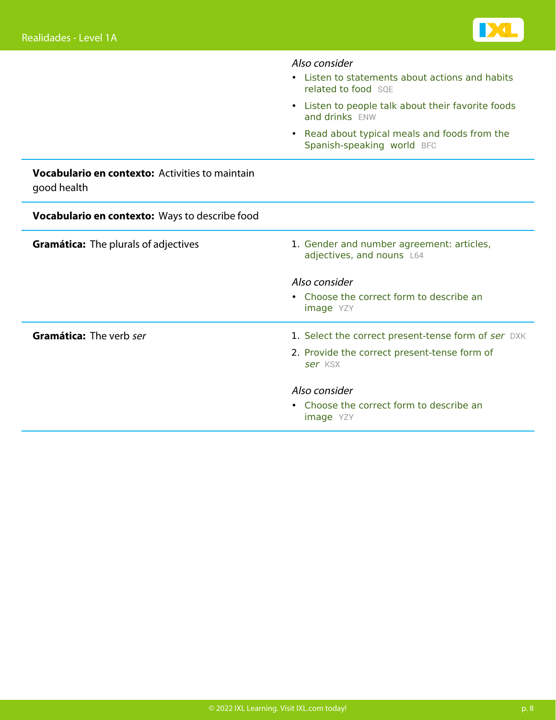

|                                                                       | Also consider                                                                   |
|-----------------------------------------------------------------------|---------------------------------------------------------------------------------|
|                                                                       | • Listen to statements about actions and habits<br>related to food SOE          |
|                                                                       | Listen to people talk about their favorite foods<br>$\bullet$<br>and drinks ENW |
|                                                                       | Read about typical meals and foods from the<br>Spanish-speaking world BFC       |
| <b>Vocabulario en contexto:</b> Activities to maintain<br>good health |                                                                                 |
| Vocabulario en contexto: Ways to describe food                        |                                                                                 |
| <b>Gramática:</b> The plurals of adjectives                           | 1. Gender and number agreement: articles,<br>adjectives, and nouns L64          |
|                                                                       | Also consider                                                                   |
|                                                                       | • Choose the correct form to describe an<br>image YZY                           |
| Gramática: The verb ser                                               | 1. Select the correct present-tense form of ser DXK                             |
|                                                                       | 2. Provide the correct present-tense form of<br>ser KSX                         |
|                                                                       | Also consider                                                                   |
|                                                                       | • Choose the correct form to describe an<br><b>image</b> YZY                    |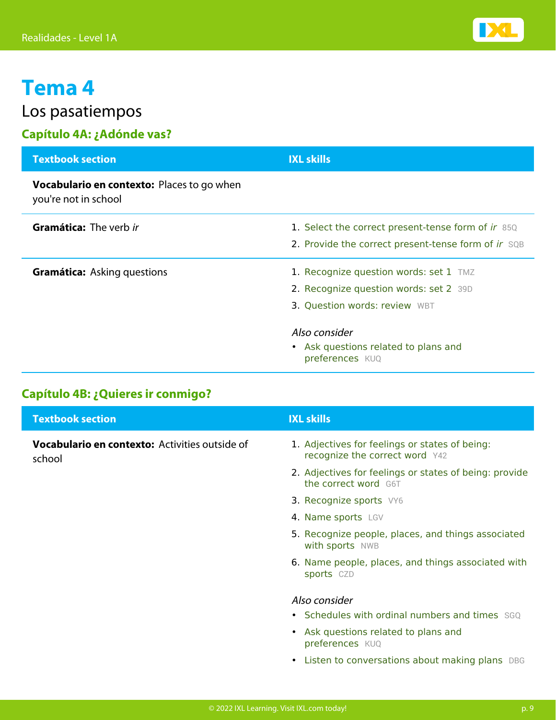Los pasatiempos

## **Capítulo 4A: ¿Adónde vas?**

| <b>Textbook section</b>                                                   | <b>IXL skills</b>                                                                                                 |
|---------------------------------------------------------------------------|-------------------------------------------------------------------------------------------------------------------|
| <b>Vocabulario en contexto:</b> Places to go when<br>you're not in school |                                                                                                                   |
| <b>Gramática:</b> The verb ir                                             | 1. Select the correct present-tense form of ir 85Q<br>2. Provide the correct present-tense form of ir SQB         |
| <b>Gramática:</b> Asking questions                                        | 1. Recognize question words: set 1 TMZ<br>2. Recognize question words: set 2 39D<br>3. Question words: review WBT |
|                                                                           | Also consider<br>• Ask questions related to plans and<br>preferences KUQ                                          |

### **Capítulo 4B: ¿Quieres ir conmigo?**

| <b>Textbook section</b>                                  | <b>IXL skills</b>                                                                |
|----------------------------------------------------------|----------------------------------------------------------------------------------|
| Vocabulario en contexto: Activities outside of<br>school | 1. Adjectives for feelings or states of being:<br>recognize the correct word Y42 |
|                                                          | 2. Adjectives for feelings or states of being: provide<br>the correct word G6T   |
|                                                          | 3. Recognize sports VY6                                                          |
|                                                          | 4. Name sports LGV                                                               |
|                                                          | 5. Recognize people, places, and things associated<br>with sports NWB            |
|                                                          | 6. Name people, places, and things associated with<br>sports CZD                 |
|                                                          | Also consider                                                                    |
|                                                          | • Schedules with ordinal numbers and times SGO                                   |
|                                                          | • Ask questions related to plans and<br>preferences KUQ                          |
|                                                          | • Listen to conversations about making plans DBG                                 |